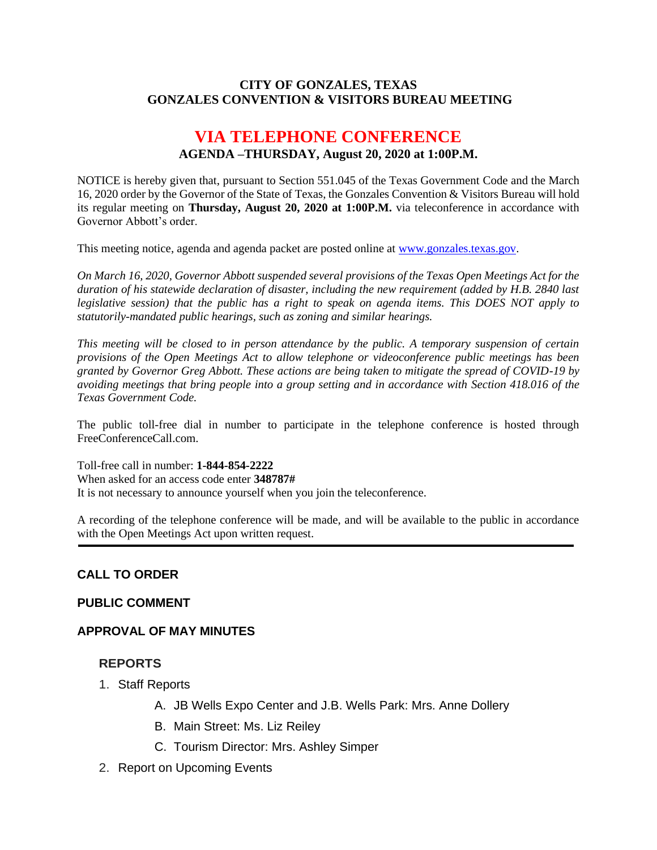### **CITY OF GONZALES, TEXAS GONZALES CONVENTION & VISITORS BUREAU MEETING**

# **VIA TELEPHONE CONFERENCE AGENDA –THURSDAY, August 20, 2020 at 1:00P.M.**

NOTICE is hereby given that, pursuant to Section 551.045 of the Texas Government Code and the March 16, 2020 order by the Governor of the State of Texas, the Gonzales Convention & Visitors Bureau will hold its regular meeting on **Thursday, August 20, 2020 at 1:00P.M.** via teleconference in accordance with Governor Abbott's order.

This meeting notice, agenda and agenda packet are posted online at [www.gonzales.texas.gov.](http://www.gonzales.texas.gov/)

*On March 16, 2020, Governor Abbott suspended several provisions of the Texas Open Meetings Act for the duration of his statewide declaration of disaster, including the new requirement (added by H.B. 2840 last legislative session) that the public has a right to speak on agenda items. This DOES NOT apply to statutorily-mandated public hearings, such as zoning and similar hearings.* 

*This meeting will be closed to in person attendance by the public. A temporary suspension of certain provisions of the Open Meetings Act to allow telephone or videoconference public meetings has been granted by Governor Greg Abbott. These actions are being taken to mitigate the spread of COVID-19 by avoiding meetings that bring people into a group setting and in accordance with Section 418.016 of the Texas Government Code.*

The public toll-free dial in number to participate in the telephone conference is hosted through FreeConferenceCall.com.

Toll-free call in number: **1-844-854-2222**

When asked for an access code enter **348787#**

It is not necessary to announce yourself when you join the teleconference.

A recording of the telephone conference will be made, and will be available to the public in accordance with the Open Meetings Act upon written request.

# **CALL TO ORDER**

#### **PUBLIC COMMENT**

#### **APPROVAL OF MAY MINUTES**

#### **REPORTS**

- 1. Staff Reports
	- A. JB Wells Expo Center and J.B. Wells Park: Mrs. Anne Dollery
	- B. Main Street: Ms. Liz Reiley
	- C. Tourism Director: Mrs. Ashley Simper
- 2. Report on Upcoming Events